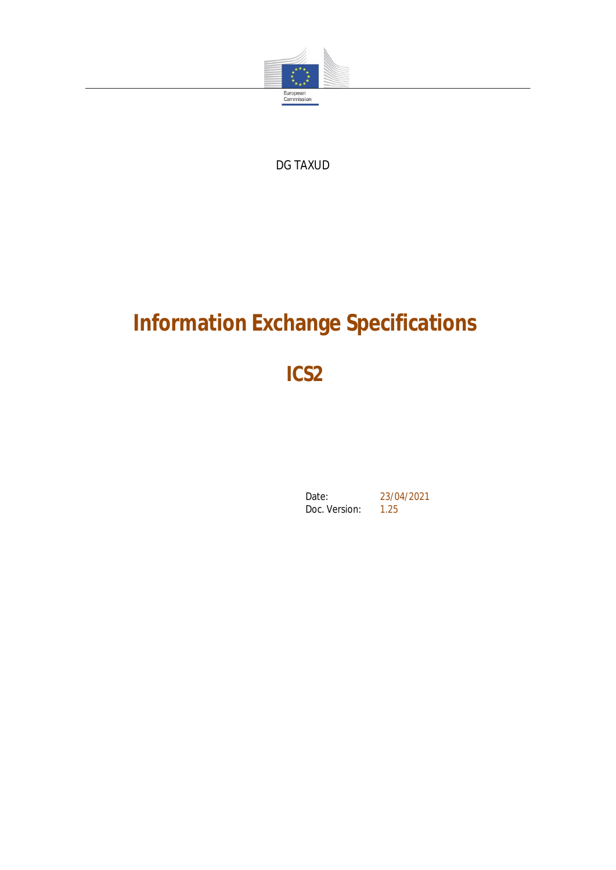

DG TAXUD

# **Information Exchange Specifications**

**ICS2**

Date: 23/04/2021<br>Doc. Version: 1.25 Doc. Version: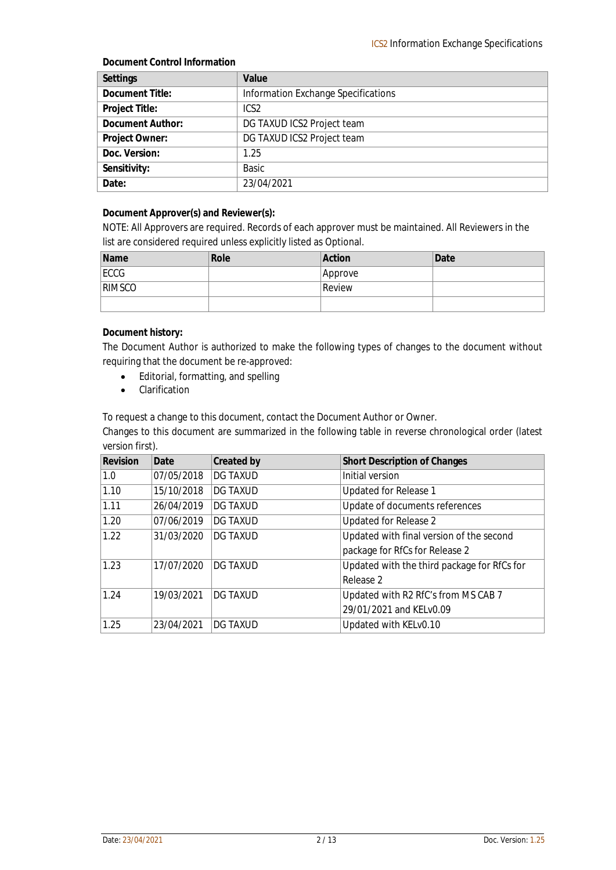#### **Document Control Information**

| Settings         | Value                               |
|------------------|-------------------------------------|
| Document Title:  | Information Exchange Specifications |
| Project Title:   | ICS <sub>2</sub>                    |
| Document Author: | DG TAXUD ICS2 Project team          |
| Project Owner:   | DG TAXUD ICS2 Project team          |
| Doc. Version:    | 1.25                                |
| Sensitivity:     | <b>Basic</b>                        |
| Date:            | 23/04/2021                          |

**Document Approver(s) and Reviewer(s):**

NOTE: All Approvers are required. Records of each approver must be maintained. All Reviewers in the list are considered required unless explicitly listed as Optional.

| Name   | Role | Action  | Date |
|--------|------|---------|------|
| ECCG   |      | Approve |      |
| RIMSCO |      | Review  |      |
|        |      |         |      |

#### **Document history:**

The Document Author is authorized to make the following types of changes to the document without requiring that the document be re-approved:

- Editorial, formatting, and spelling
- **•** Clarification

To request a change to this document, contact the Document Author or Owner.

Changes to this document are summarized in the following table in reverse chronological order (latest version first).

| Revision | Date       | Created by      | Short Description of Changes                |
|----------|------------|-----------------|---------------------------------------------|
| 1.0      | 07/05/2018 | <b>DG TAXUD</b> | Initial version                             |
| 1.10     | 15/10/2018 | <b>DG TAXUD</b> | Updated for Release 1                       |
| 1.11     | 26/04/2019 | <b>DG TAXUD</b> | Update of documents references              |
| 1.20     | 07/06/2019 | <b>DG TAXUD</b> | Updated for Release 2                       |
| 1.22     | 31/03/2020 | <b>DG TAXUD</b> | Updated with final version of the second    |
|          |            |                 | package for RfCs for Release 2              |
| 1.23     | 17/07/2020 | IDG TAXUD       | Updated with the third package for RfCs for |
|          |            |                 | Release 2                                   |
| 1.24     | 19/03/2021 | <b>DG TAXUD</b> | Updated with R2 RfC's from MS CAB 7         |
|          |            |                 | 29/01/2021 and KELv0.09                     |
| 1.25     | 23/04/2021 | IDG TAXUD       | Updated with KELv0.10                       |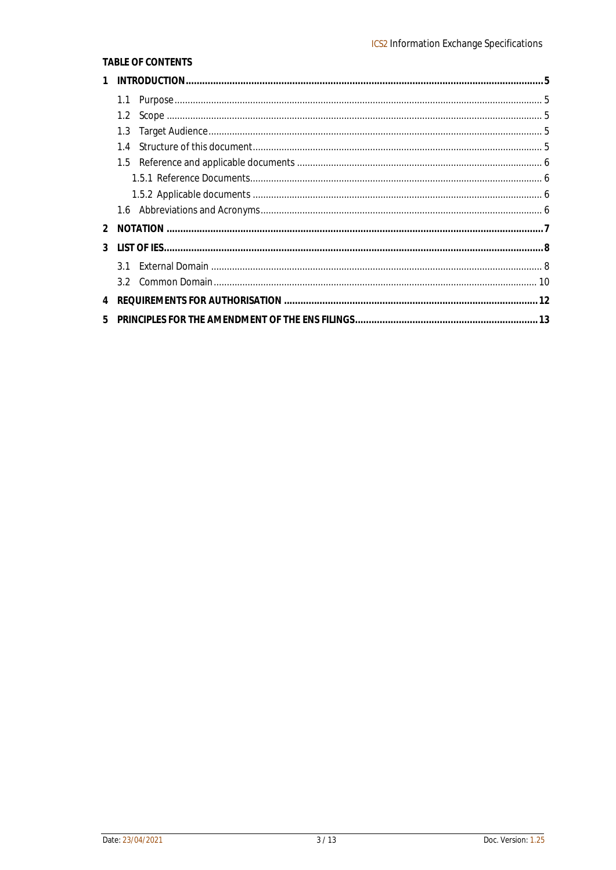#### TABLE OF CONTENTS

| $\mathbf{1}$ |     |  |
|--------------|-----|--|
|              |     |  |
|              |     |  |
|              | 1.3 |  |
|              | 1.4 |  |
|              |     |  |
|              |     |  |
|              |     |  |
|              |     |  |
|              |     |  |
|              |     |  |
|              |     |  |
|              |     |  |
|              |     |  |
| 5            |     |  |
|              |     |  |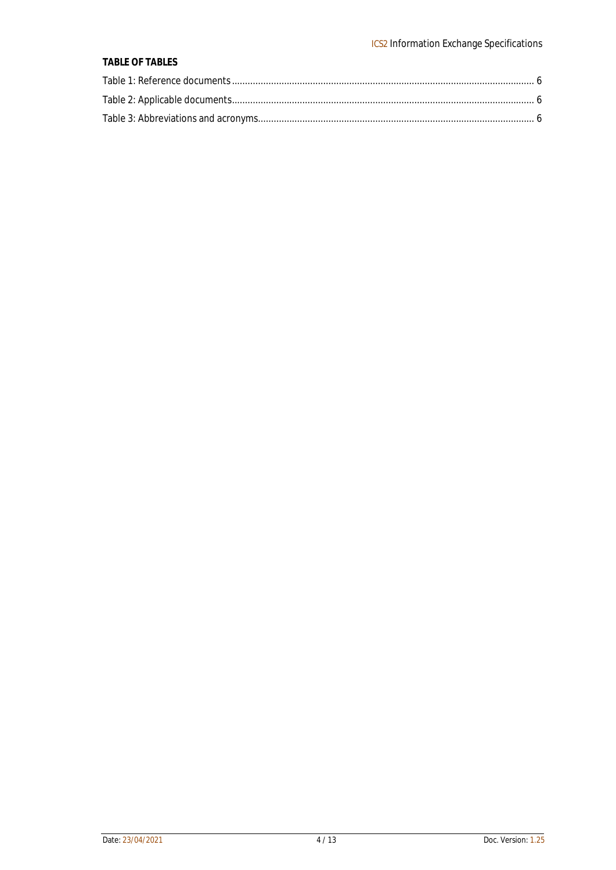#### **TABLE OF TABLES**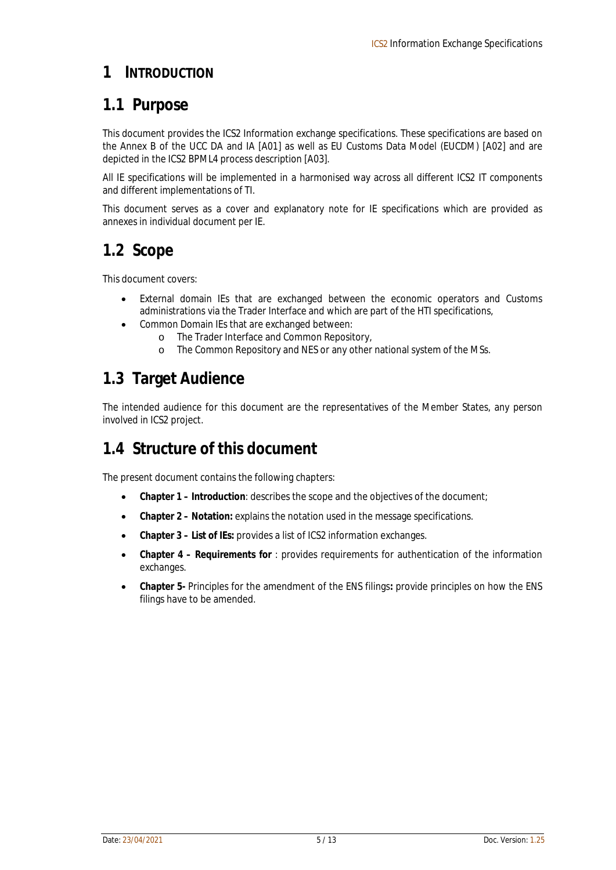### **1 INTRODUCTION**

# **1.1 Purpose**

This document provides the ICS2 Information exchange specifications. These specifications are based on the Annex B of the UCC DA and IA [A01] as well as EU Customs Data Model (EUCDM) [A02] and are depicted in the ICS2 BPML4 process description [A03].

All IE specifications will be implemented in a harmonised way across all different ICS2 IT components and different implementations of TI.

This document serves as a cover and explanatory note for IE specifications which are provided as annexes in individual document per IE.

### **1.2 Scope**

This document covers:

- External domain IEs that are exchanged between the economic operators and Customs administrations via the Trader Interface and which are part of the HTI specifications,
- Common Domain IEs that are exchanged between:
	- o The Trader Interface and Common Repository,
	- o The Common Repository and NES or any other national system of the MSs.

# **1.3 Target Audience**

The intended audience for this document are the representatives of the Member States, any person involved in ICS2 project.

# **1.4 Structure of this document**

The present document contains the following chapters:

- **Chapter 1 – Introduction**: describes the scope and the objectives of the document;
- **Chapter 2 – Notation:** explains the notation used in the message specifications.
- **Chapter 3 – List of IEs:** provides a list of ICS2 information exchanges.
- **Chapter 4 – Requirements for** : provides requirements for authentication of the information exchanges.
- **Chapter 5-** Principles for the amendment of the ENS filings**:** provide principles on how the ENS filings have to be amended.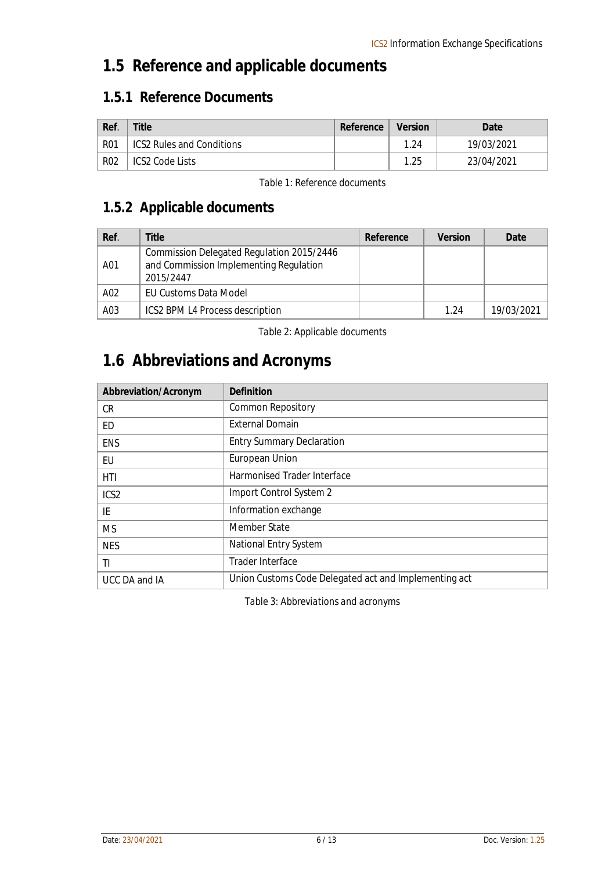# **1.5 Reference and applicable documents**

### **1.5.1 Reference Documents**

| Ref.       | Title                            | Reference | Version | Date       |
|------------|----------------------------------|-----------|---------|------------|
| <b>R01</b> | <b>ICS2 Rules and Conditions</b> |           | 1.24    | 19/03/2021 |
| <b>R02</b> | ICS2 Code Lists                  |           | 1.25    | 23/04/2021 |

*Table 1: Reference documents*

### **1.5.2 Applicable documents**

| Ref. | <u>Fitle</u>                                                                                     | Reference | Version | Date       |
|------|--------------------------------------------------------------------------------------------------|-----------|---------|------------|
| A01  | Commission Delegated Regulation 2015/2446<br>and Commission Implementing Regulation<br>2015/2447 |           |         |            |
| A02  | EU Customs Data Model                                                                            |           |         |            |
| A03  | ICS2 BPM L4 Process description                                                                  |           | 1 24    | 19/03/2021 |

*Table 2: Applicable documents*

# **1.6 Abbreviations and Acronyms**

| Abbreviation/Acronym | Definition                                            |
|----------------------|-------------------------------------------------------|
| <b>CR</b>            | <b>Common Repository</b>                              |
| ED                   | <b>External Domain</b>                                |
| <b>ENS</b>           | <b>Entry Summary Declaration</b>                      |
| EU                   | European Union                                        |
| HTI                  | Harmonised Trader Interface                           |
| ICS <sub>2</sub>     | Import Control System 2                               |
| IE                   | Information exchange                                  |
| <b>MS</b>            | Member State                                          |
| <b>NES</b>           | National Entry System                                 |
| ΤI                   | Trader Interface                                      |
| UCC DA and IA        | Union Customs Code Delegated act and Implementing act |

*Table 3: Abbreviations and acronyms*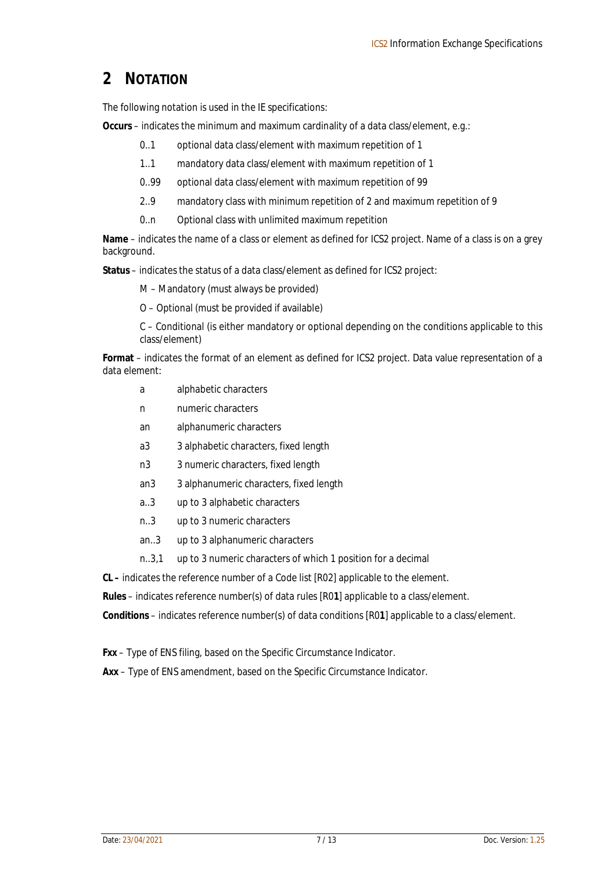# **2 NOTATION**

The following notation is used in the IE specifications:

**Occurs** – indicates the minimum and maximum cardinality of a data class/element, e.g.:

- 0..1 optional data class/element with maximum repetition of 1
- 1..1 mandatory data class/element with maximum repetition of 1
- 0..99 optional data class/element with maximum repetition of 99
- 2..9 mandatory class with minimum repetition of 2 and maximum repetition of 9
- 0..n Optional class with unlimited maximum repetition

**Name** – indicates the name of a class or element as defined for ICS2 project. Name of a class is on a grey background.

**Status** – indicates the status of a data class/element as defined for ICS2 project:

M – Mandatory (must always be provided)

O – Optional (must be provided if available)

C – Conditional (is either mandatory or optional depending on the conditions applicable to this class/element)

**Format** – indicates the format of an element as defined for ICS2 project. Data value representation of a data element:

- a alphabetic characters
- n numeric characters
- an alphanumeric characters
- a3 3 alphabetic characters, fixed length
- n3 3 numeric characters, fixed length
- an3 3 alphanumeric characters, fixed length
- a..3 up to 3 alphabetic characters
- n..3 up to 3 numeric characters
- an..3 up to 3 alphanumeric characters
- n..3,1 up to 3 numeric characters of which 1 position for a decimal

**CL –** indicates the reference number of a Code list [R02] applicable to the element.

**Rules** – indicates reference number(s) of data rules [R0**1**] applicable to a class/element.

**Conditions** – indicates reference number(s) of data conditions [R0**1**] applicable to a class/element.

**Fxx** – Type of ENS filing, based on the Specific Circumstance Indicator.

**Axx** – Type of ENS amendment, based on the Specific Circumstance Indicator.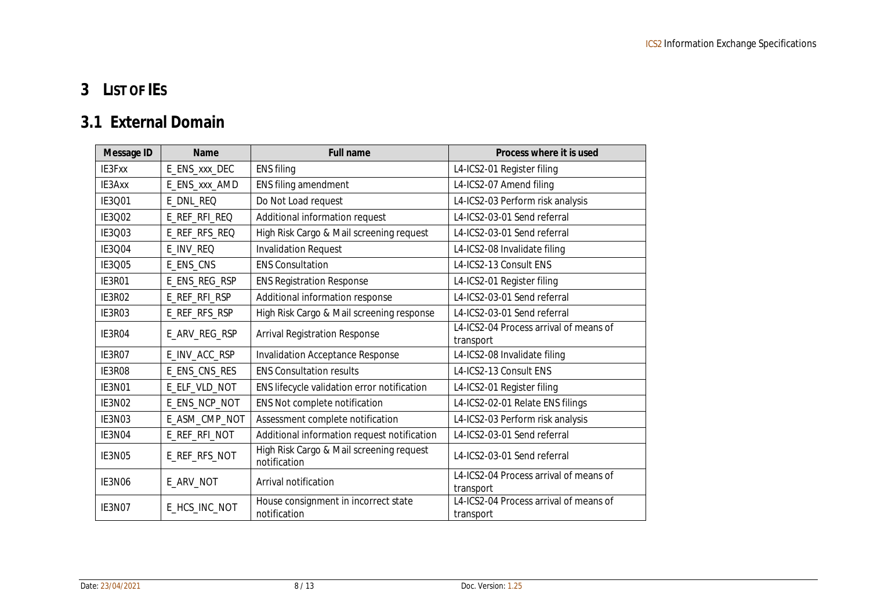# **3 LIST OF IES**

# **3.1 External Domain**

| Message ID    | Name          | <b>Full name</b>                                         | Process where it is used                            |
|---------------|---------------|----------------------------------------------------------|-----------------------------------------------------|
| IE3Fxx        | E_ENS_xxx_DEC | <b>ENS filing</b>                                        | L4-ICS2-01 Register filing                          |
| IE3Axx        | E_ENS_xxx_AMD | ENS filing amendment                                     | L4-ICS2-07 Amend filing                             |
| IE3Q01        | E_DNL_REQ     | Do Not Load request                                      | L4-ICS2-03 Perform risk analysis                    |
| IE3Q02        | E_REF_RFI_REQ | Additional information request                           | L4-ICS2-03-01 Send referral                         |
| IE3Q03        | E_REF_RFS_REQ | High Risk Cargo & Mail screening request                 | L4-ICS2-03-01 Send referral                         |
| IE3Q04        | E_INV_REQ     | <b>Invalidation Request</b>                              | L4-ICS2-08 Invalidate filing                        |
| IE3Q05        | E_ENS_CNS     | <b>ENS Consultation</b>                                  | L4-ICS2-13 Consult ENS                              |
| IE3R01        | E_ENS_REG_RSP | <b>ENS Registration Response</b>                         | L4-ICS2-01 Register filing                          |
| <b>IE3R02</b> | E_REF_RFI_RSP | Additional information response                          | L4-ICS2-03-01 Send referral                         |
| IE3R03        | E_REF_RFS_RSP | High Risk Cargo & Mail screening response                | L4-ICS2-03-01 Send referral                         |
| IE3R04        | E_ARV_REG_RSP | <b>Arrival Registration Response</b>                     | L4-ICS2-04 Process arrival of means of<br>transport |
| IE3R07        | E_INV_ACC_RSP | <b>Invalidation Acceptance Response</b>                  | L4-ICS2-08 Invalidate filing                        |
| IE3R08        | E_ENS_CNS_RES | <b>ENS Consultation results</b>                          | L4-ICS2-13 Consult ENS                              |
| IE3N01        | E_ELF_VLD_NOT | ENS lifecycle validation error notification              | L4-ICS2-01 Register filing                          |
| IE3N02        | E_ENS_NCP_NOT | ENS Not complete notification                            | L4-ICS2-02-01 Relate ENS filings                    |
| IE3N03        | E_ASM_CMP_NOT | Assessment complete notification                         | L4-ICS2-03 Perform risk analysis                    |
| IE3N04        | E_REF_RFI_NOT | Additional information request notification              | L4-ICS2-03-01 Send referral                         |
| IE3N05        | E_REF_RFS_NOT | High Risk Cargo & Mail screening request<br>notification | L4-ICS2-03-01 Send referral                         |
| IE3N06        | E_ARV_NOT     | Arrival notification                                     | L4-ICS2-04 Process arrival of means of<br>transport |
| IE3N07        | E_HCS_INC_NOT | House consignment in incorrect state<br>notification     | L4-ICS2-04 Process arrival of means of<br>transport |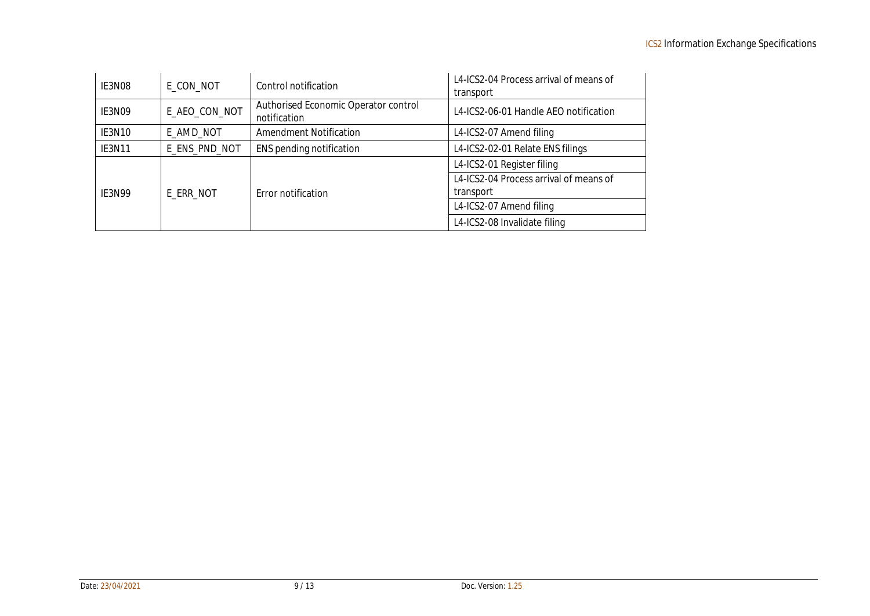| IE3N08        | E_CON_NOT     | Control notification                                 | L4-ICS2-04 Process arrival of means of<br>transport |
|---------------|---------------|------------------------------------------------------|-----------------------------------------------------|
| IE3N09        | E_AEO_CON_NOT | Authorised Economic Operator control<br>notification | L4-ICS2-06-01 Handle AEO notification               |
| IE3N10        | E_AMD_NOT     | <b>Amendment Notification</b>                        | L4-ICS2-07 Amend filing                             |
| IE3N11        | E_ENS_PND_NOT | ENS pending notification                             | L4-ICS2-02-01 Relate ENS filings                    |
|               | E_ERR_NOT     |                                                      | L4-ICS2-01 Register filing                          |
|               |               |                                                      | L4-ICS2-04 Process arrival of means of              |
| <b>IE3N99</b> |               | Error notification                                   | transport                                           |
|               |               |                                                      | L4-ICS2-07 Amend filing                             |
|               |               |                                                      | L4-ICS2-08 Invalidate filing                        |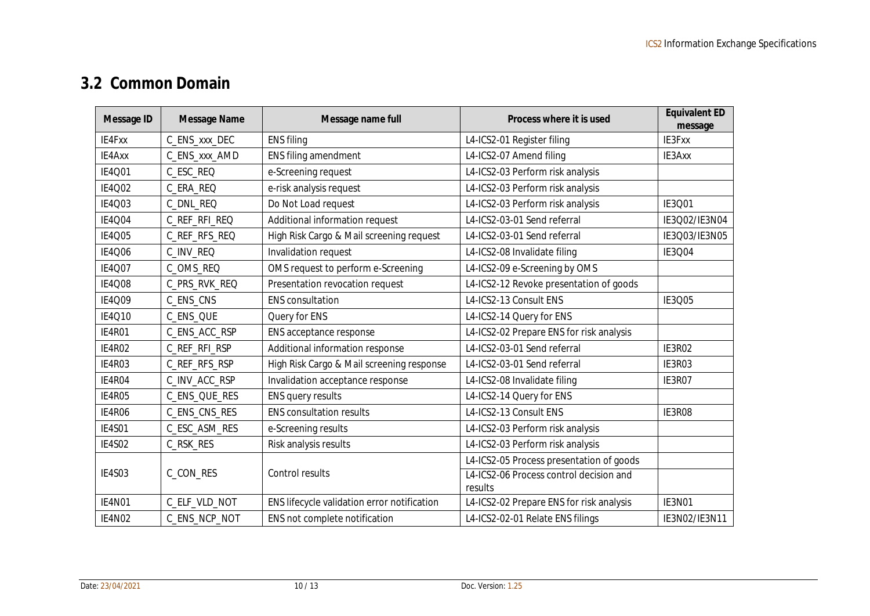# **3.2 Common Domain**

| Message ID    | Message Name  | Message name full                           | Process where it is used                           | Equivalent ED<br>message |
|---------------|---------------|---------------------------------------------|----------------------------------------------------|--------------------------|
| IE4Fxx        | C_ENS_xxx_DEC | <b>ENS filing</b>                           | L4-ICS2-01 Register filing                         | IE3Fxx                   |
| IE4Axx        | C_ENS_xxx_AMD | ENS filing amendment                        | L4-ICS2-07 Amend filing                            | IE3Axx                   |
| IE4Q01        | C_ESC_REQ     | e-Screening request                         | L4-ICS2-03 Perform risk analysis                   |                          |
| IE4Q02        | C_ERA_REQ     | e-risk analysis request                     | L4-ICS2-03 Perform risk analysis                   |                          |
| IE4Q03        | C_DNL_REQ     | Do Not Load request                         | L4-ICS2-03 Perform risk analysis                   | IE3Q01                   |
| <b>IE4004</b> | C_REF_RFI_REQ | Additional information request              | L4-ICS2-03-01 Send referral                        | IE3Q02/IE3N04            |
| IE4Q05        | C_REF_RFS_REQ | High Risk Cargo & Mail screening request    | L4-ICS2-03-01 Send referral                        | IE3Q03/IE3N05            |
| <b>IE4006</b> | C_INV_REQ     | Invalidation request                        | L4-ICS2-08 Invalidate filing                       | IE3Q04                   |
| IE4Q07        | C_OMS_REQ     | OMS request to perform e-Screening          | L4-ICS2-09 e-Screening by OMS                      |                          |
| <b>IE4008</b> | C_PRS_RVK_REQ | Presentation revocation request             | L4-ICS2-12 Revoke presentation of goods            |                          |
| IE4Q09        | C_ENS_CNS     | <b>ENS</b> consultation                     | L4-ICS2-13 Consult ENS                             | IE3Q05                   |
| IE4Q10        | C_ENS_QUE     | Query for ENS                               | L4-ICS2-14 Query for ENS                           |                          |
| <b>IE4R01</b> | C_ENS_ACC_RSP | ENS acceptance response                     | L4-ICS2-02 Prepare ENS for risk analysis           |                          |
| <b>IE4R02</b> | C_REF_RFI_RSP | Additional information response             | L4-ICS2-03-01 Send referral                        | IE3R02                   |
| IE4R03        | C_REF_RFS_RSP | High Risk Cargo & Mail screening response   | L4-ICS2-03-01 Send referral                        | IE3R03                   |
| IE4R04        | C_INV_ACC_RSP | Invalidation acceptance response            | L4-ICS2-08 Invalidate filing                       | IE3R07                   |
| IE4R05        | C_ENS_QUE_RES | ENS query results                           | L4-ICS2-14 Query for ENS                           |                          |
| <b>IE4R06</b> | C_ENS_CNS_RES | <b>ENS consultation results</b>             | L4-ICS2-13 Consult ENS                             | IE3R08                   |
| <b>IE4S01</b> | C_ESC_ASM_RES | e-Screening results                         | L4-ICS2-03 Perform risk analysis                   |                          |
| IE4S02        | C_RSK_RES     | Risk analysis results                       | L4-ICS2-03 Perform risk analysis                   |                          |
|               |               |                                             | L4-ICS2-05 Process presentation of goods           |                          |
| IE4S03        | C_CON_RES     | Control results                             | L4-ICS2-06 Process control decision and<br>results |                          |
| IE4N01        | C_ELF_VLD_NOT | ENS lifecycle validation error notification | L4-ICS2-02 Prepare ENS for risk analysis           | IE3N01                   |
| IE4N02        | C_ENS_NCP_NOT | ENS not complete notification               | L4-ICS2-02-01 Relate ENS filings                   | IE3N02/IE3N11            |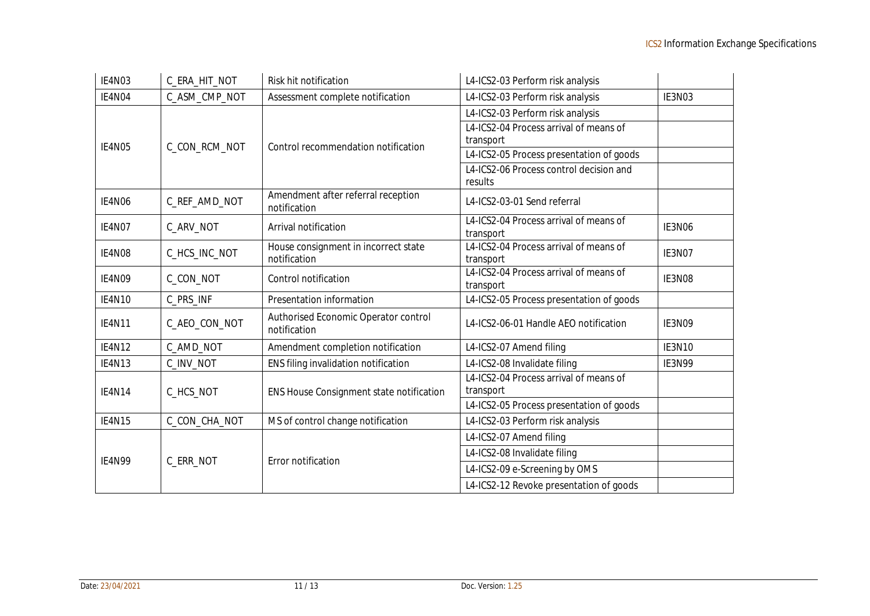| IE4N03        | C_ERA_HIT_NOT | Risk hit notification                                | L4-ICS2-03 Perform risk analysis         |               |
|---------------|---------------|------------------------------------------------------|------------------------------------------|---------------|
| IE4N04        | C_ASM_CMP_NOT | Assessment complete notification                     | L4-ICS2-03 Perform risk analysis         | IE3N03        |
|               |               |                                                      | L4-ICS2-03 Perform risk analysis         |               |
|               |               |                                                      | L4-ICS2-04 Process arrival of means of   |               |
| IE4N05        | C_CON_RCM_NOT | Control recommendation notification                  | transport                                |               |
|               |               |                                                      | L4-ICS2-05 Process presentation of goods |               |
|               |               |                                                      | L4-ICS2-06 Process control decision and  |               |
|               |               |                                                      | results                                  |               |
| IE4N06        | C_REF_AMD_NOT | Amendment after referral reception<br>notification   | L4-ICS2-03-01 Send referral              |               |
| IE4N07        | C_ARV_NOT     | Arrival notification                                 | L4-ICS2-04 Process arrival of means of   | IE3N06        |
|               |               |                                                      | transport                                |               |
| IE4N08        | C_HCS_INC_NOT | House consignment in incorrect state                 | L4-ICS2-04 Process arrival of means of   | IE3N07        |
|               |               | notification                                         | transport                                |               |
| IE4N09        | C_CON_NOT     | Control notification                                 | L4-ICS2-04 Process arrival of means of   | IE3N08        |
|               |               |                                                      | transport                                |               |
| <b>IE4N10</b> | C_PRS_INF     | Presentation information                             | L4-ICS2-05 Process presentation of goods |               |
| <b>IE4N11</b> | C_AEO_CON_NOT | Authorised Economic Operator control<br>notification | L4-ICS2-06-01 Handle AEO notification    | IE3N09        |
| IE4N12        | C_AMD_NOT     | Amendment completion notification                    | L4-ICS2-07 Amend filing                  | <b>IE3N10</b> |
| IE4N13        | C_INV_NOT     | ENS filing invalidation notification                 | L4-ICS2-08 Invalidate filing             | IE3N99        |
|               |               |                                                      | L4-ICS2-04 Process arrival of means of   |               |
| <b>IE4N14</b> | C_HCS_NOT     | ENS House Consignment state notification             | transport                                |               |
|               |               |                                                      | L4-ICS2-05 Process presentation of goods |               |
| IE4N15        | C_CON_CHA_NOT | MS of control change notification                    | L4-ICS2-03 Perform risk analysis         |               |
|               |               |                                                      | L4-ICS2-07 Amend filing                  |               |
|               |               |                                                      | L4-ICS2-08 Invalidate filing             |               |
| <b>IE4N99</b> | C_ERR_NOT     | Error notification                                   | L4-ICS2-09 e-Screening by OMS            |               |
|               |               |                                                      | L4-ICS2-12 Revoke presentation of goods  |               |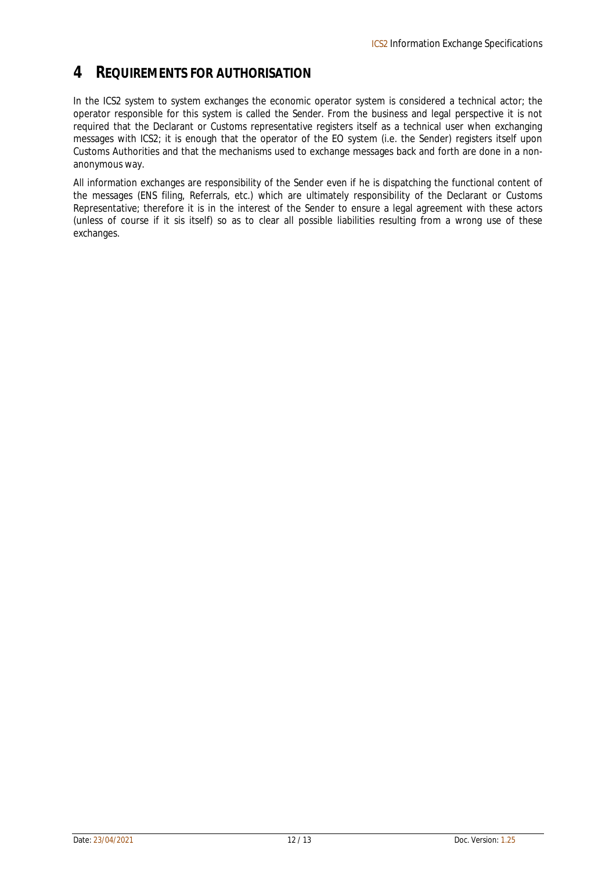#### **4 REQUIREMENTS FOR AUTHORISATION**

In the ICS2 system to system exchanges the economic operator system is considered a technical actor; the operator responsible for this system is called *the Sender*. From the business and legal perspective it is not required that the Declarant or Customs representative registers itself as a technical user when exchanging messages with ICS2; it is enough that the operator of the EO system (i.e. the Sender) registers itself upon Customs Authorities and that the mechanisms used to exchange messages back and forth are done in a nonanonymous way.

All information exchanges are responsibility of the Sender even if he is dispatching the functional content of the messages (ENS filing, Referrals, etc.) which are ultimately responsibility of the Declarant or Customs Representative; therefore it is in the interest of the Sender to ensure a legal agreement with these actors (unless of course if it sis itself) so as to clear all possible liabilities resulting from a wrong use of these exchanges.